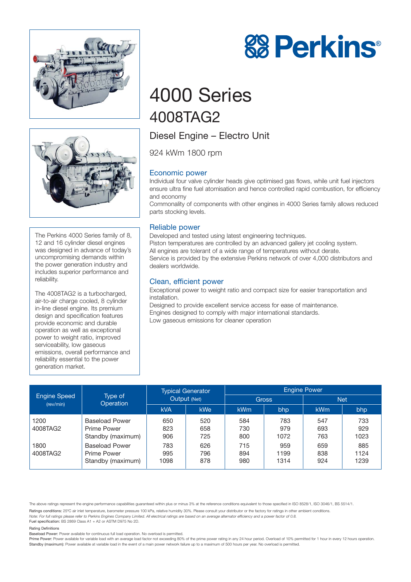



The Perkins 4000 Series family of 8, 12 and 16 cylinder diesel engines was designed in advance of today's uncompromising demands within the power generation industry and includes superior performance and reliability.

The 4008TAG2 is a turbocharged, air-to-air charge cooled, 8 cylinder in-line diesel engine. Its premium design and specification features provide economic and durable operation as well as exceptional power to weight ratio, improved serviceability, low gaseous emissions, overall performance and reliability essential to the power generation market.

# 4000 Series 4008TAG2

# Diesel Engine – Electro Unit

924 kWm 1800 rpm

# Economic power

Individual four valve cylinder heads give optimised gas flows, while unit fuel injectors ensure ultra fine fuel atomisation and hence controlled rapid combustion, for efficiency and economy

Commonality of components with other engines in 4000 Series family allows reduced parts stocking levels.

# Reliable power

Developed and tested using latest engineering techniques. Piston temperatures are controlled by an advanced gallery jet cooling system. All engines are tolerant of a wide range of temperatures without derate. Service is provided by the extensive Perkins network of over 4,000 distributors and dealers worldwide.

# Clean, efficient power

Exceptional power to weight ratio and compact size for easier transportation and installation.

Designed to provide excellent service access for ease of maintenance. Engines designed to comply with major international standards. Low gaseous emissions for cleaner operation

| <b>Engine Speed</b><br>(rev/min) | Type of<br>Operation                                      | <b>Typical Generator</b><br>Output (Net) |                   | <b>Engine Power</b> |                     |                   |                     |
|----------------------------------|-----------------------------------------------------------|------------------------------------------|-------------------|---------------------|---------------------|-------------------|---------------------|
|                                  |                                                           |                                          |                   | <b>Gross</b>        |                     | <b>Net</b>        |                     |
|                                  |                                                           | <b>kVA</b>                               | kWe               | <b>kWm</b>          | bhp                 | <b>kWm</b>        | bhp                 |
| 1200<br>4008TAG2                 | <b>Baseload Power</b><br>Prime Power<br>Standby (maximum) | 650<br>823<br>906                        | 520<br>658<br>725 | 584<br>730<br>800   | 783<br>979<br>1072  | 547<br>693<br>763 | 733<br>929<br>1023  |
| 1800<br>4008TAG2                 | <b>Baseload Power</b><br>Prime Power<br>Standby (maximum) | 783<br>995<br>1098                       | 626<br>796<br>878 | 715<br>894<br>980   | 959<br>1199<br>1314 | 659<br>838<br>924 | 885<br>1124<br>1239 |

The above ratings represent the engine performance capabilities guaranteed within plus or minus 3% at the reference conditions equivalent to those specified in ISO 8528/1, ISO 3046/1, BS 5514/1.

Ratings conditions: 25°C air inlet temperature, barometer pressure 100 kPa, relative humidity 30%. Please consult your distributor or the factory for ratings in other ambient conditions.

*Note: For full ratings please refer to Perkins Engines Company Limited. All electrical ratings are based on an average alternator efficiency and a power factor of 0.8.*

Fuel specification: BS 2869 Class A1 + A2 or ASTM D975 No 2D.

#### Rating Definitions

Baseload Power: Power available for continuous full load operation. No overload is permitted.

Prime Power: Power available for variable load with an average load factor not exceeding 80% of the prime power rating in any 24 hour period. Overload of 10% permitted for 1 hour in every 12 hours operation. Standby (maximum): Power available at variable load in the event of a main power network failure up to a maximum of 500 hours per year. No overload is permitted